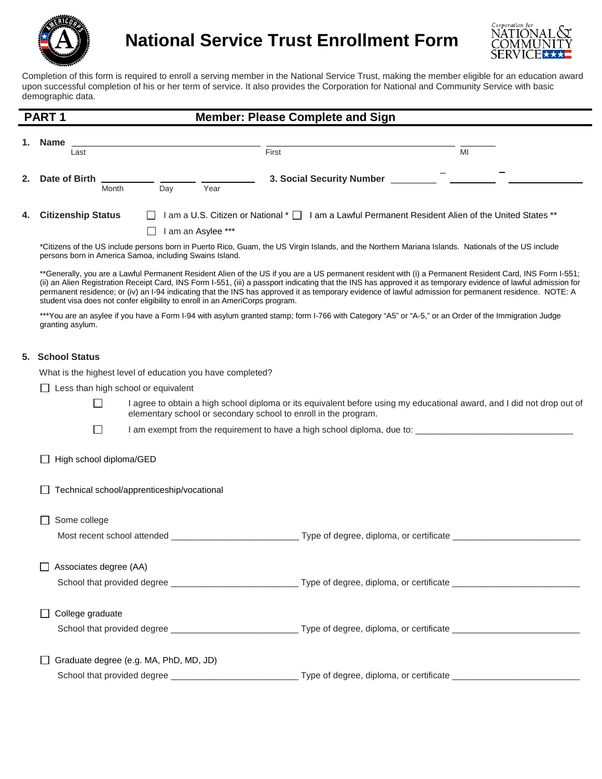

**National Service Trust Enrollment Form**



Completion of this form is required to enroll a serving member in the National Service Trust, making the member eligible for an education award upon successful completion of his or her term of service. It also provides the Corporation for National and Community Service with basic demographic data.

| PART <sub>1</sub> |                        | <b>Member: Please Complete and Sign</b>                                                                                           |  |
|-------------------|------------------------|-----------------------------------------------------------------------------------------------------------------------------------|--|
|                   | 1. Name<br>Last        | MI<br>First                                                                                                                       |  |
| 2.                | Date of Birth<br>Month | 3. Social Security Number<br>Year<br>Day                                                                                          |  |
|                   | 4. Citizenship Status  | I am a U.S. Citizen or National * □ I am a Lawful Permanent Resident Alien of the United States **<br>$\perp$<br>am an Asylee *** |  |
|                   |                        |                                                                                                                                   |  |

\*Citizens of the US include persons born in Puerto Rico, Guam, the US Virgin Islands, and the Northern Mariana Islands. Nationals of the US include persons born in America Samoa, including Swains Island.

\*\*Generally, you are a Lawful Permanent Resident Alien of the US if you are a US permanent resident with (i) a Permanent Resident Card, INS Form I-551; (ii) an Alien Registration Receipt Card, INS Form I-551, (iii) a passport indicating that the INS has approved it as temporary evidence of lawful admission for permanent residence; or (iv) an I-94 indicating that the INS has approved it as temporary evidence of lawful admission for permanent residence. NOTE: A student visa does not confer eligibility to enroll in an AmeriCorps program.

\*\*\*You are an asylee if you have a Form I-94 with asylum granted stamp; form I-766 with Category "A5" or "A-5," or an Order of the Immigration Judge granting asylum.

## **5. School Status**

What is the highest level of education you have completed?

**1** Less than high school or equivalent

- П I agree to obtain a high school diploma or its equivalent before using my educational award, and I did not drop out of elementary school or secondary school to enroll in the program.
- $\Box$  I am exempt from the requirement to have a high school diploma, due to:  $\Box$
- $\Box$  High school diploma/GED
- $\Box$  Technical school/apprenticeship/vocational

| Some college                                   |                                                    |  |  |
|------------------------------------------------|----------------------------------------------------|--|--|
| Most recent school attended Most recent school | Type of degree, diploma, or certificate __________ |  |  |
|                                                |                                                    |  |  |
| Associates degree (AA)                         |                                                    |  |  |
|                                                | Type of degree, diploma, or certificate __________ |  |  |
|                                                |                                                    |  |  |
| College graduate                               |                                                    |  |  |
|                                                |                                                    |  |  |
|                                                |                                                    |  |  |
| Graduate degree (e.g. MA, PhD, MD, JD)         |                                                    |  |  |
| School that provided degree                    | Type of degree, diploma, or certificate            |  |  |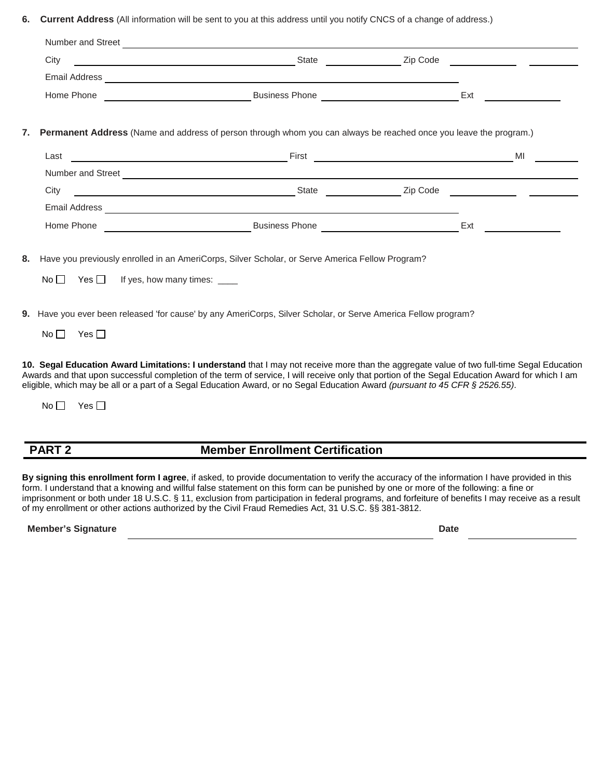**6. Current Address** (All information will be sent to you at this address until you notify CNCS of a change of address.)

| Number and Street |                       |          |  |
|-------------------|-----------------------|----------|--|
| City              | <b>State</b>          | Zip Code |  |
| Email Address     |                       |          |  |
| Home Phone        | <b>Business Phone</b> | Еxt      |  |

**7. Permanent Address** (Name and address of person through whom you can always be reached once you leave the program.)

| Last              | First                 |          | MI |
|-------------------|-----------------------|----------|----|
| Number and Street |                       |          |    |
| City              | <b>State</b>          | Zip Code |    |
| Email Address     |                       |          |    |
| Home Phone        | <b>Business Phone</b> | Ext      |    |

**8.** Have you previously enrolled in an AmeriCorps, Silver Scholar, or Serve America Fellow Program?

 $No \Box$  Yes  $\Box$  If yes, how many times:  $\Box$ 

**9.** Have you ever been released 'for cause' by any AmeriCorps, Silver Scholar, or Serve America Fellow program?

 $No \Box$  Yes  $\Box$ 

**10. Segal Education Award Limitations: I understand** that I may not receive more than the aggregate value of two full-time Segal Education Awards and that upon successful completion of the term of service, I will receive only that portion of the Segal Education Award for which I am eligible, which may be all or a part of a Segal Education Award, or no Segal Education Award *(pursuant to 45 CFR § 2526.55)*.

 $No \Box$  Yes  $\Box$ 

## **PART 2 Member Enrollment Certification**

**By signing this enrollment form I agree**, if asked, to provide documentation to verify the accuracy of the information I have provided in this form. I understand that a knowing and willful false statement on this form can be punished by one or more of the following: a fine or imprisonment or both under 18 U.S.C. § 11, exclusion from participation in federal programs, and forfeiture of benefits I may receive as a result of my enrollment or other actions authorized by the Civil Fraud Remedies Act, 31 U.S.C. §§ 381-3812.

**Member's Signature Date**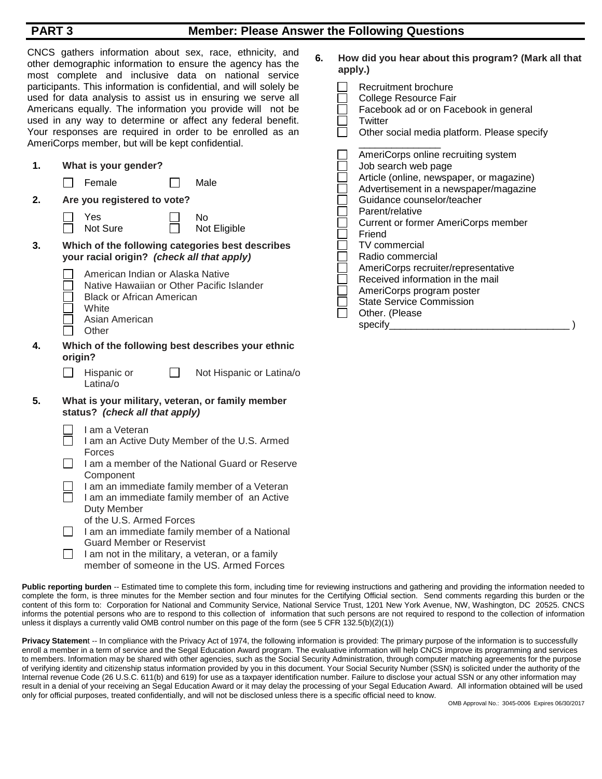| <b>PART3</b>                                                                                                                                                                                                                                                                                                                                                                                                                                                                                                                                                                                      |                                                                                                                                                                                                                                                                                                                                                                                                                                                                                     | <b>Member: Please Answer the Following Questions</b>                                                                                                                                                                                                                                                                               |
|---------------------------------------------------------------------------------------------------------------------------------------------------------------------------------------------------------------------------------------------------------------------------------------------------------------------------------------------------------------------------------------------------------------------------------------------------------------------------------------------------------------------------------------------------------------------------------------------------|-------------------------------------------------------------------------------------------------------------------------------------------------------------------------------------------------------------------------------------------------------------------------------------------------------------------------------------------------------------------------------------------------------------------------------------------------------------------------------------|------------------------------------------------------------------------------------------------------------------------------------------------------------------------------------------------------------------------------------------------------------------------------------------------------------------------------------|
| CNCS gathers information about sex, race, ethnicity, and<br>other demographic information to ensure the agency has the<br>most complete and inclusive data on national service<br>participants. This information is confidential, and will solely be<br>used for data analysis to assist us in ensuring we serve all<br>Americans equally. The information you provide will not be<br>used in any way to determine or affect any federal benefit.<br>Your responses are required in order to be enrolled as an<br>AmeriCorps member, but will be kept confidential.<br>1.<br>What is your gender? |                                                                                                                                                                                                                                                                                                                                                                                                                                                                                     | 6.<br>How did you hear about this program? (Mark all that<br>apply.)<br>Recruitment brochure<br>College Resource Fair<br>Facebook ad or on Facebook in general<br>Twitter<br>Other social media platform. Please specify<br>AmeriCorps online recruiting system<br>Job search web page<br>Article (online, newspaper, or magazine) |
|                                                                                                                                                                                                                                                                                                                                                                                                                                                                                                                                                                                                   | Female<br>Male                                                                                                                                                                                                                                                                                                                                                                                                                                                                      | Advertisement in a newspaper/magazine                                                                                                                                                                                                                                                                                              |
| 2.                                                                                                                                                                                                                                                                                                                                                                                                                                                                                                                                                                                                | Are you registered to vote?<br>No<br>Yes<br>Not Sure<br>Not Eligible                                                                                                                                                                                                                                                                                                                                                                                                                | Guidance counselor/teacher<br>Parent/relative<br><b>Current or former AmeriCorps member</b><br>Friend                                                                                                                                                                                                                              |
| 3.                                                                                                                                                                                                                                                                                                                                                                                                                                                                                                                                                                                                | Which of the following categories best describes<br>your racial origin? (check all that apply)                                                                                                                                                                                                                                                                                                                                                                                      | TV commercial<br>Radio commercial                                                                                                                                                                                                                                                                                                  |
|                                                                                                                                                                                                                                                                                                                                                                                                                                                                                                                                                                                                   | American Indian or Alaska Native<br>Native Hawaiian or Other Pacific Islander<br><b>Black or African American</b><br>White<br>Asian American<br>Other                                                                                                                                                                                                                                                                                                                               | AmeriCorps recruiter/representative<br>Received information in the mail<br>AmeriCorps program poster<br><b>State Service Commission</b><br>Other. (Please<br>specify_                                                                                                                                                              |
| 4.                                                                                                                                                                                                                                                                                                                                                                                                                                                                                                                                                                                                | Which of the following best describes your ethnic<br>origin?                                                                                                                                                                                                                                                                                                                                                                                                                        |                                                                                                                                                                                                                                                                                                                                    |
|                                                                                                                                                                                                                                                                                                                                                                                                                                                                                                                                                                                                   | Not Hispanic or Latina/o<br>Hispanic or<br>Latina/o                                                                                                                                                                                                                                                                                                                                                                                                                                 |                                                                                                                                                                                                                                                                                                                                    |
| 5.                                                                                                                                                                                                                                                                                                                                                                                                                                                                                                                                                                                                | What is your military, veteran, or family member<br>status? (check all that apply)                                                                                                                                                                                                                                                                                                                                                                                                  |                                                                                                                                                                                                                                                                                                                                    |
|                                                                                                                                                                                                                                                                                                                                                                                                                                                                                                                                                                                                   | I am a Veteran<br>I am an Active Duty Member of the U.S. Armed<br>Forces<br>I am a member of the National Guard or Reserve<br>Component<br>I am an immediate family member of a Veteran<br>I am an immediate family member of an Active<br>Duty Member<br>of the U.S. Armed Forces<br>I am an immediate family member of a National<br><b>Guard Member or Reservist</b><br>I am not in the military, a veteran, or a family<br>$\perp$<br>member of someone in the US. Armed Forces |                                                                                                                                                                                                                                                                                                                                    |

Public reporting burden -- Estimated time to complete this form, including time for reviewing instructions and gathering and providing the information needed to complete the form, is three minutes for the Member section and four minutes for the Certifying Official section. Send comments regarding this burden or the content of this form to: Corporation for National and Community Service, National Service Trust, 1201 New York Avenue, NW, Washington, DC 20525. CNCS informs the potential persons who are to respond to this collection of information that such persons are not required to respond to the collection of information unless it displays a currently valid OMB control number on this page of the form (see 5 CFR 132.5(b)(2)(1))

Privacy Statement -- In compliance with the Privacy Act of 1974, the following information is provided: The primary purpose of the information is to successfully enroll a member in a term of service and the Segal Education Award program. The evaluative information will help CNCS improve its programming and services to members. Information may be shared with other agencies, such as the Social Security Administration, through computer matching agreements for the purpose of verifying identity and citizenship status information provided by you in this document. Your Social Security Number (SSN) is solicited under the authority of the Internal revenue Code (26 U.S.C. 611(b) and 619) for use as a taxpayer identification number. Failure to disclose your actual SSN or any other information may result in a denial of your receiving an Segal Education Award or it may delay the processing of your Segal Education Award. All information obtained will be used only for official purposes, treated confidentially, and will not be disclosed unless there is a specific official need to know.